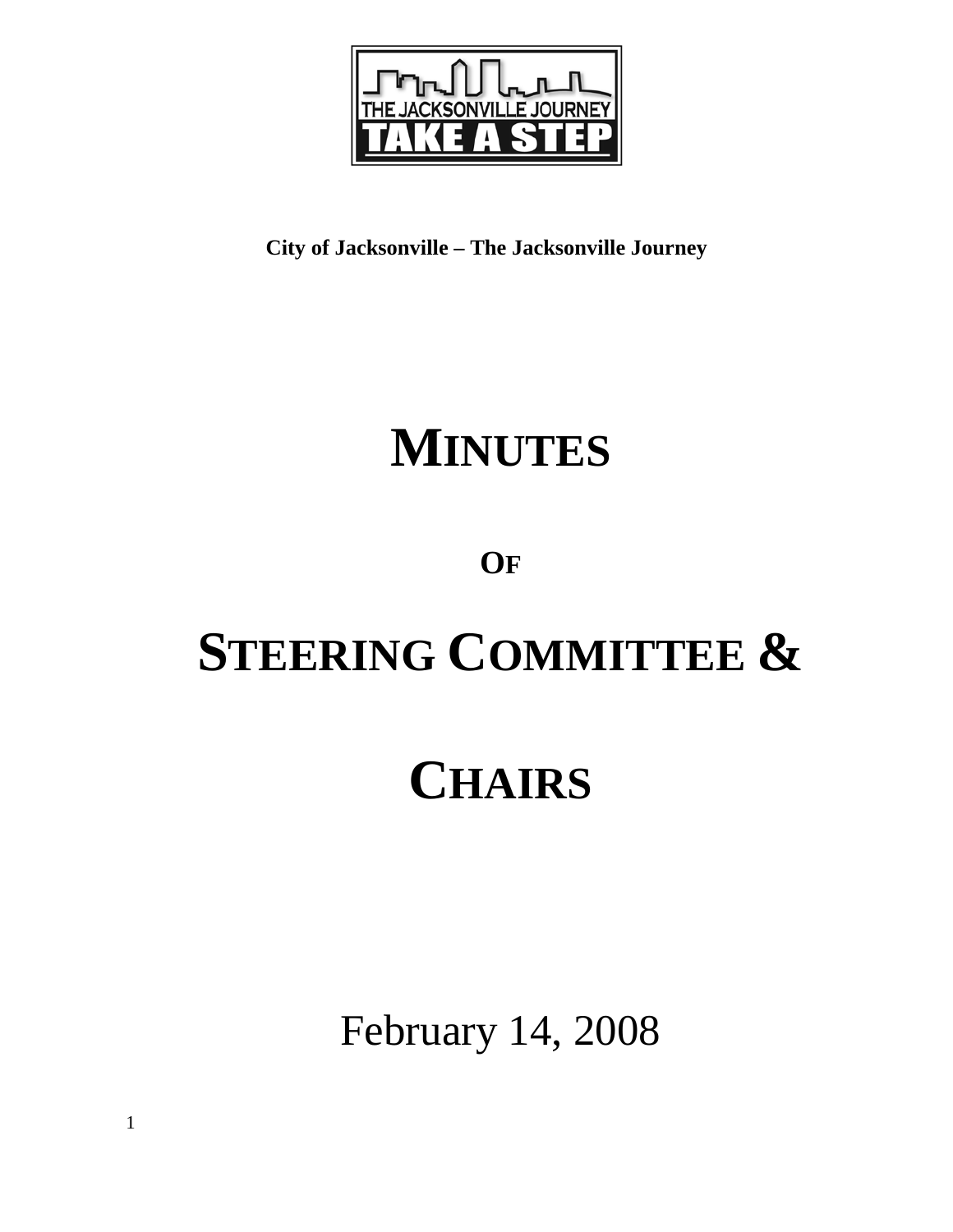

**City of Jacksonville – The Jacksonville Journey** 

## **MINUTES**

### **OF**

# **STEERING COMMITTEE &**

### **CHAIRS**

February 14, 2008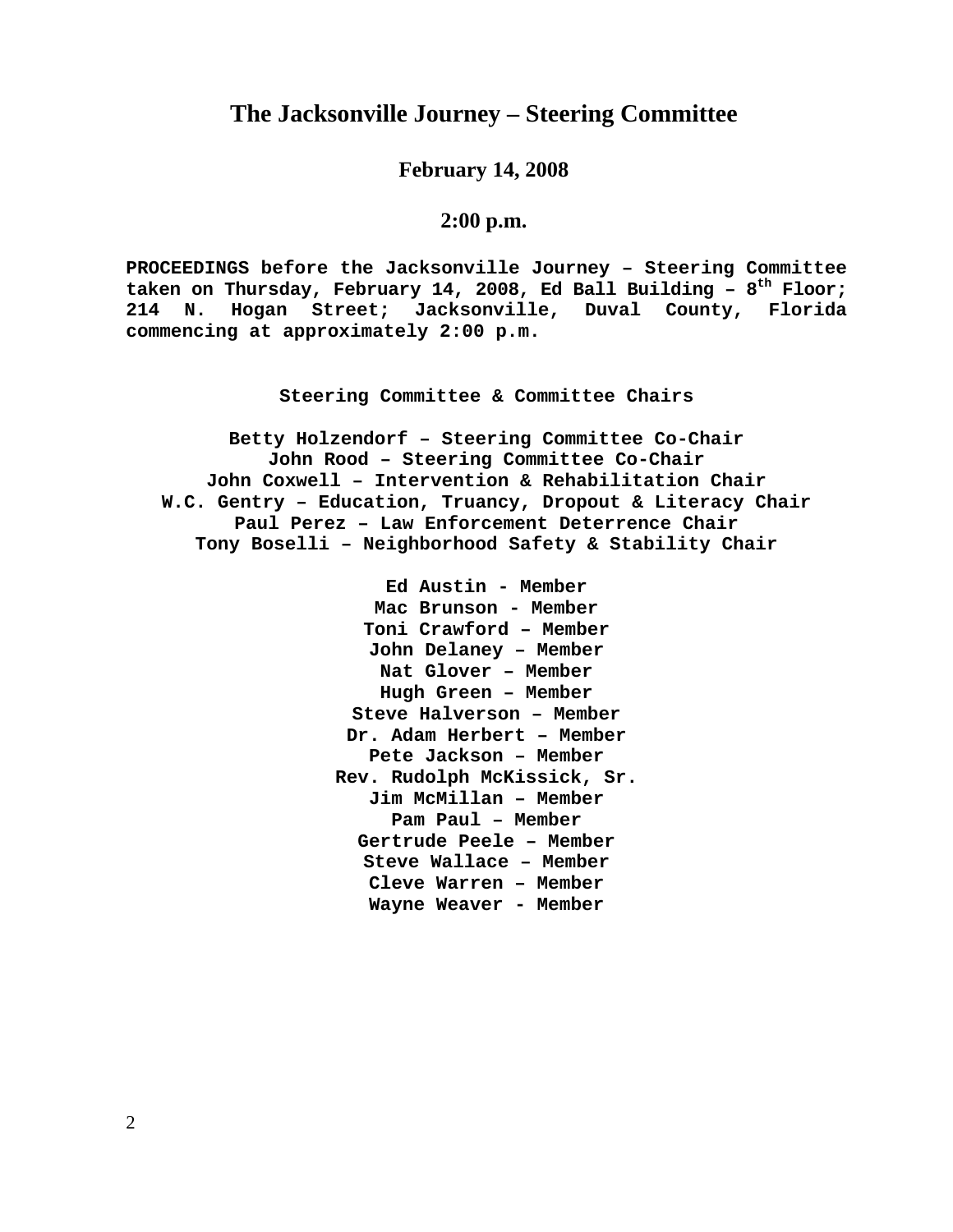#### **The Jacksonville Journey – Steering Committee**

**February 14, 2008** 

#### **2:00 p.m.**

**PROCEEDINGS before the Jacksonville Journey – Steering Committee**  taken on Thursday, February 14, 2008, Ed Ball Building - 8<sup>th</sup> Floor; **214 N. Hogan Street; Jacksonville, Duval County, Florida commencing at approximately 2:00 p.m.** 

**Steering Committee & Committee Chairs**

**Betty Holzendorf – Steering Committee Co-Chair John Rood – Steering Committee Co-Chair John Coxwell – Intervention & Rehabilitation Chair W.C. Gentry – Education, Truancy, Dropout & Literacy Chair Paul Perez – Law Enforcement Deterrence Chair Tony Boselli – Neighborhood Safety & Stability Chair** 

> **Ed Austin - Member Mac Brunson - Member Toni Crawford – Member John Delaney – Member Nat Glover – Member Hugh Green – Member Steve Halverson – Member Dr. Adam Herbert – Member Pete Jackson – Member Rev. Rudolph McKissick, Sr. Jim McMillan – Member Pam Paul – Member Gertrude Peele – Member Steve Wallace – Member Cleve Warren – Member Wayne Weaver - Member**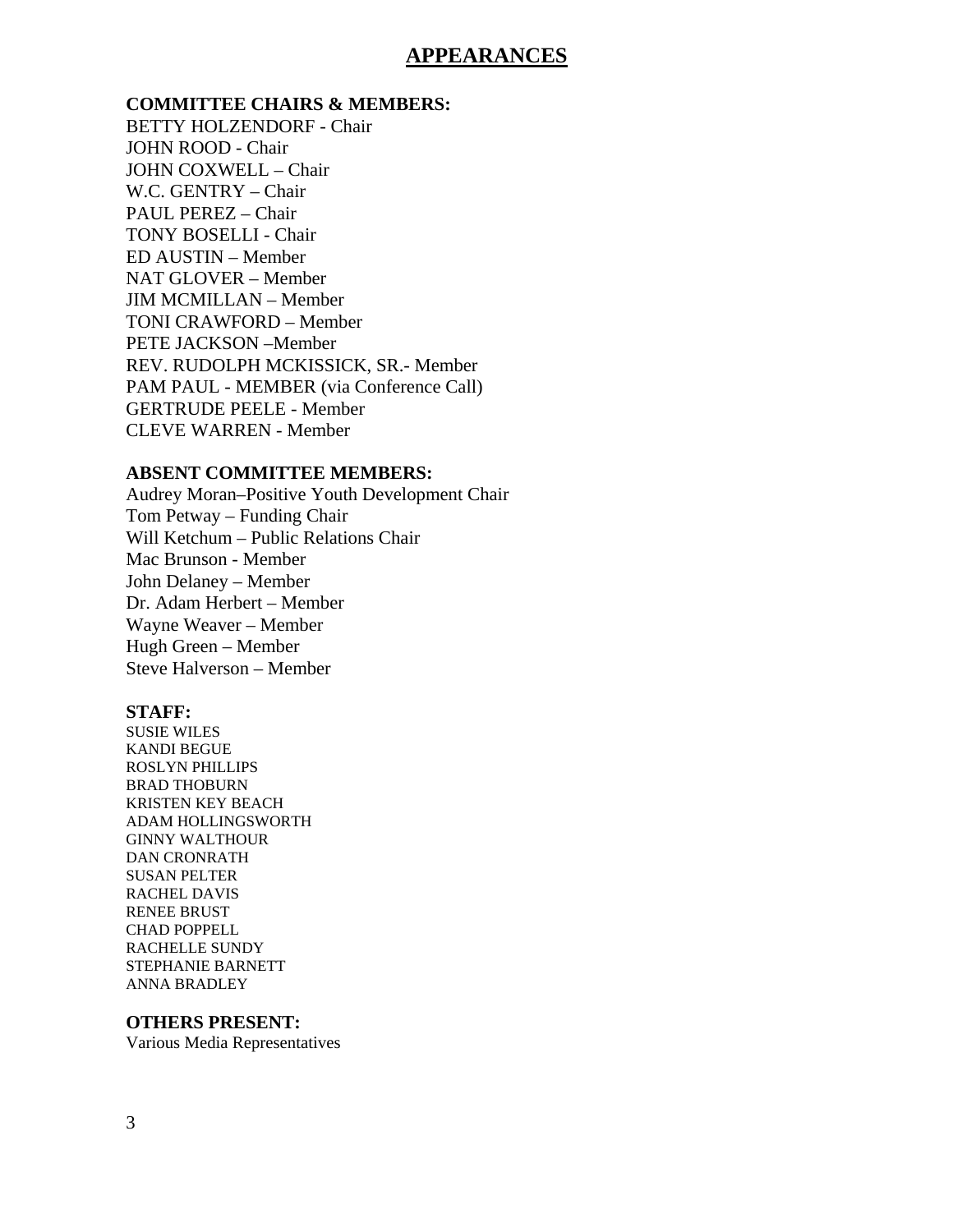#### **APPEARANCES**

**COMMITTEE CHAIRS & MEMBERS:** BETTY HOLZENDORF - Chair JOHN ROOD - Chair JOHN COXWELL – Chair W.C. GENTRY – Chair PAUL PEREZ – Chair TONY BOSELLI - Chair ED AUSTIN – Member NAT GLOVER – Member JIM MCMILLAN – Member TONI CRAWFORD – Member PETE JACKSON –Member REV. RUDOLPH MCKISSICK, SR.- Member PAM PAUL - MEMBER (via Conference Call) GERTRUDE PEELE - Member CLEVE WARREN - Member

#### **ABSENT COMMITTEE MEMBERS:**

Audrey Moran–Positive Youth Development Chair Tom Petway – Funding Chair Will Ketchum – Public Relations Chair Mac Brunson - Member John Delaney – Member Dr. Adam Herbert – Member Wayne Weaver – Member Hugh Green – Member Steve Halverson – Member

#### **STAFF:**

SUSIE WILES KANDI BEGUE ROSLYN PHILLIPS BRAD THOBURN KRISTEN KEY BEACH ADAM HOLLINGSWORTH GINNY WALTHOUR DAN CRONRATH SUSAN PELTER RACHEL DAVIS RENEE BRUST CHAD POPPELL RACHELLE SUNDY STEPHANIE BARNETT ANNA BRADLEY

#### **OTHERS PRESENT:**

Various Media Representatives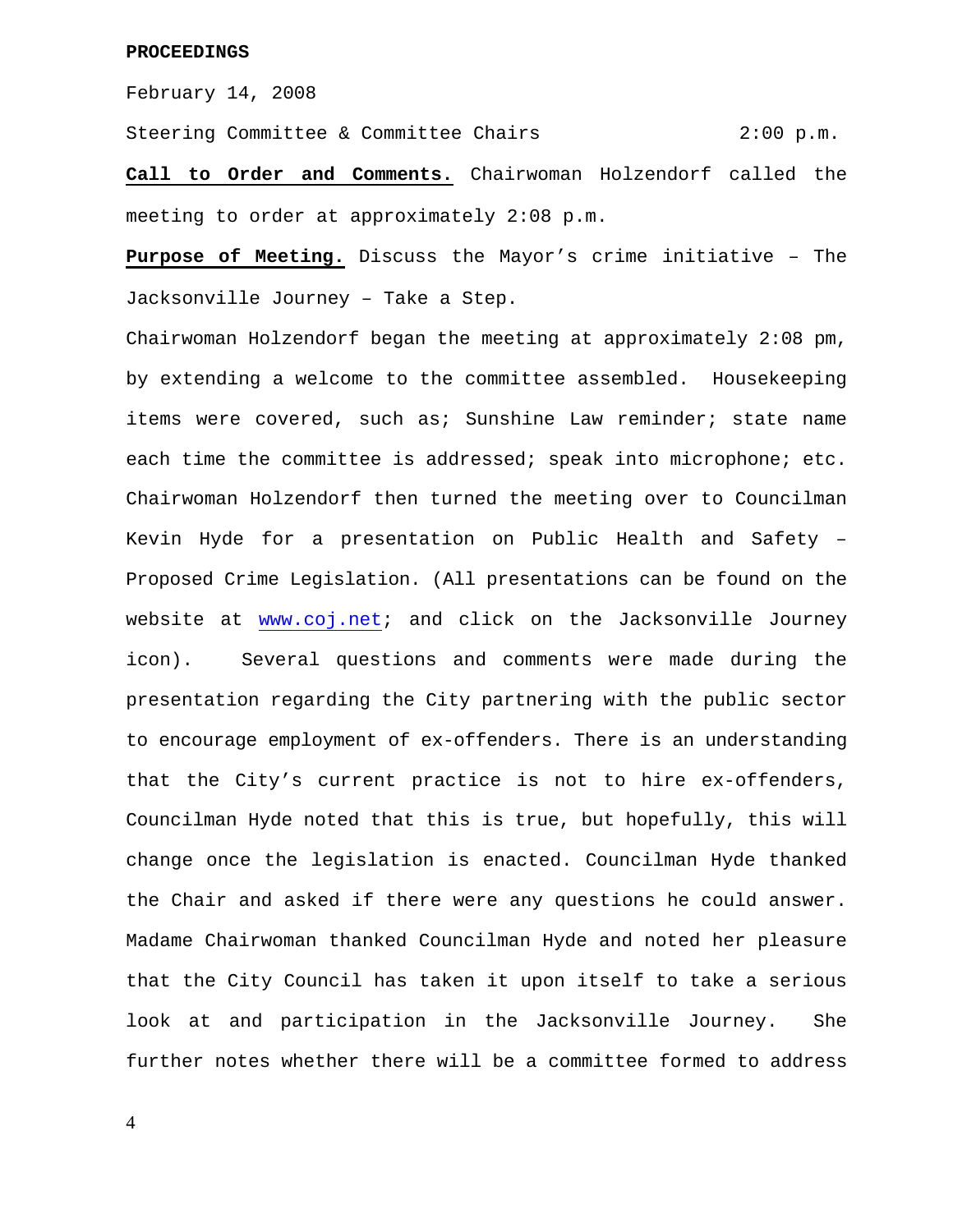February 14, 2008

Steering Committee & Committee Chairs 2:00 p.m.

**Call to Order and Comments.** Chairwoman Holzendorf called the meeting to order at approximately 2:08 p.m.

**Purpose of Meeting.** Discuss the Mayor's crime initiative – The Jacksonville Journey – Take a Step.

Chairwoman Holzendorf began the meeting at approximately 2:08 pm, by extending a welcome to the committee assembled. Housekeeping items were covered, such as; Sunshine Law reminder; state name each time the committee is addressed; speak into microphone; etc. Chairwoman Holzendorf then turned the meeting over to Councilman Kevin Hyde for a presentation on Public Health and Safety – Proposed Crime Legislation. (All presentations can be found on the website at [www.coj.net;](http://www.coj.net/) and click on the Jacksonville Journey icon). Several questions and comments were made during the presentation regarding the City partnering with the public sector to encourage employment of ex-offenders. There is an understanding that the City's current practice is not to hire ex-offenders, Councilman Hyde noted that this is true, but hopefully, this will change once the legislation is enacted. Councilman Hyde thanked the Chair and asked if there were any questions he could answer. Madame Chairwoman thanked Councilman Hyde and noted her pleasure that the City Council has taken it upon itself to take a serious look at and participation in the Jacksonville Journey. She further notes whether there will be a committee formed to address

4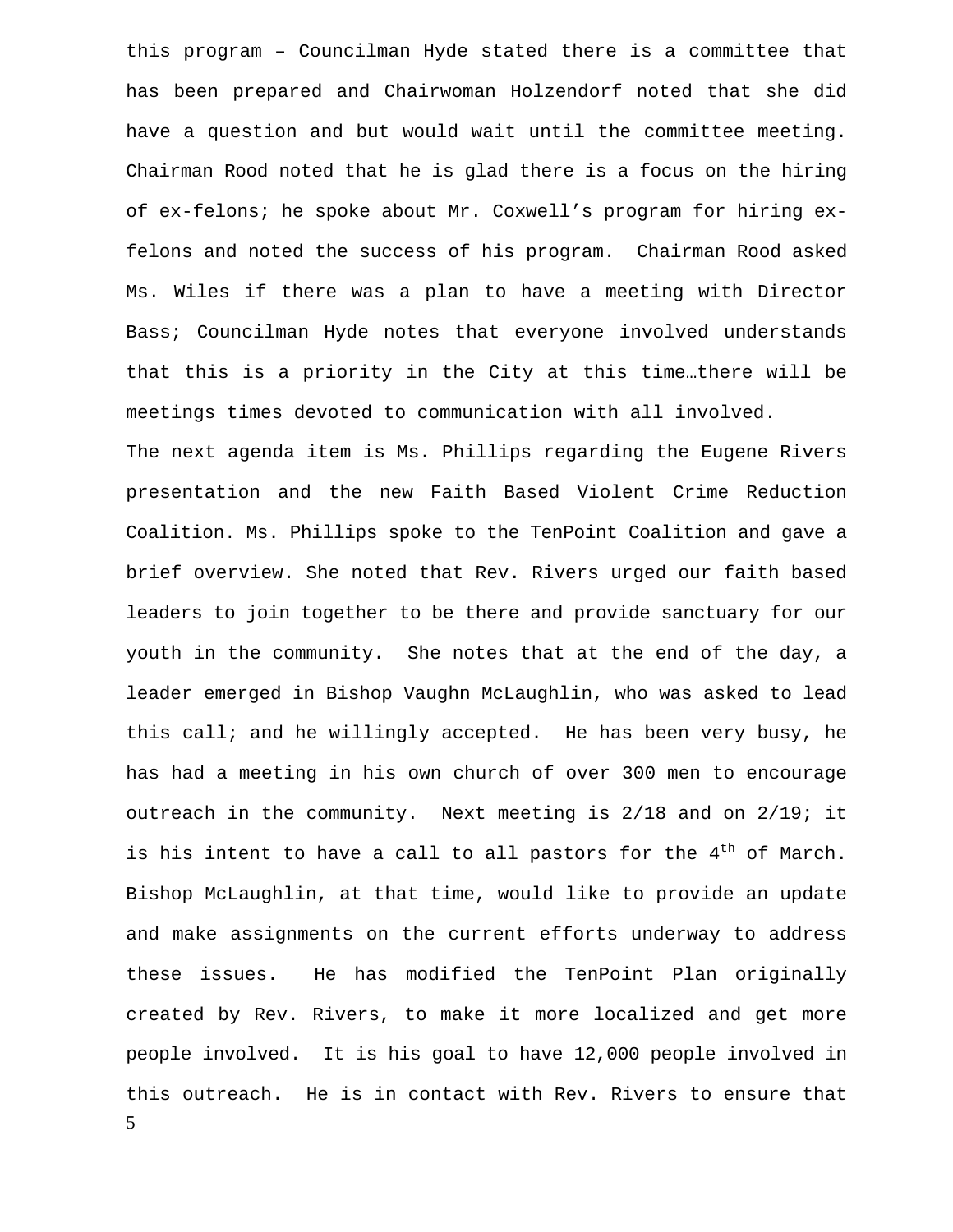this program – Councilman Hyde stated there is a committee that has been prepared and Chairwoman Holzendorf noted that she did have a question and but would wait until the committee meeting. Chairman Rood noted that he is glad there is a focus on the hiring of ex-felons; he spoke about Mr. Coxwell's program for hiring exfelons and noted the success of his program. Chairman Rood asked Ms. Wiles if there was a plan to have a meeting with Director Bass; Councilman Hyde notes that everyone involved understands that this is a priority in the City at this time…there will be meetings times devoted to communication with all involved.

5 The next agenda item is Ms. Phillips regarding the Eugene Rivers presentation and the new Faith Based Violent Crime Reduction Coalition. Ms. Phillips spoke to the TenPoint Coalition and gave a brief overview. She noted that Rev. Rivers urged our faith based leaders to join together to be there and provide sanctuary for our youth in the community. She notes that at the end of the day, a leader emerged in Bishop Vaughn McLaughlin, who was asked to lead this call; and he willingly accepted. He has been very busy, he has had a meeting in his own church of over 300 men to encourage outreach in the community. Next meeting is 2/18 and on 2/19; it is his intent to have a call to all pastors for the  $4<sup>th</sup>$  of March. Bishop McLaughlin, at that time, would like to provide an update and make assignments on the current efforts underway to address these issues. He has modified the TenPoint Plan originally created by Rev. Rivers, to make it more localized and get more people involved. It is his goal to have 12,000 people involved in this outreach. He is in contact with Rev. Rivers to ensure that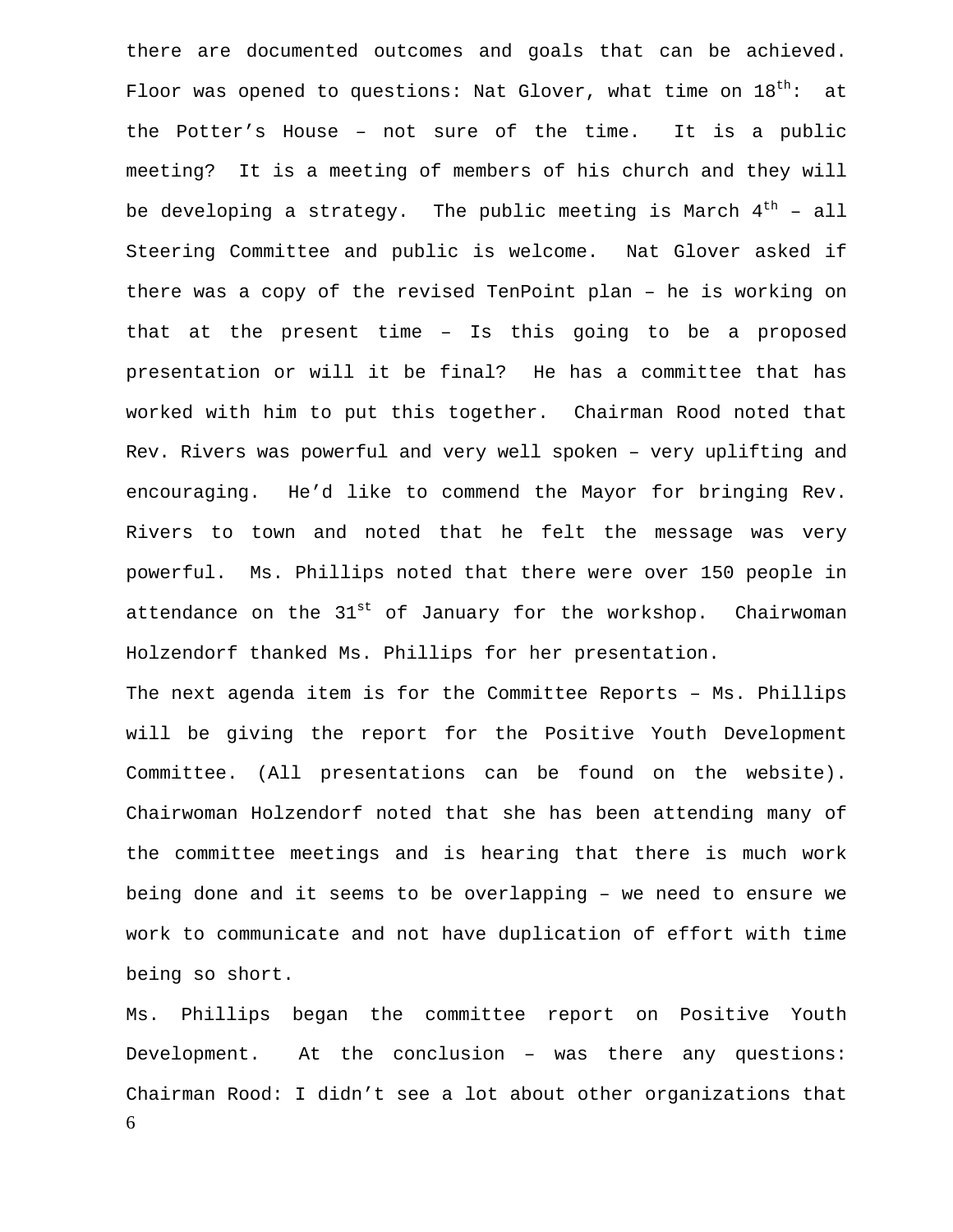there are documented outcomes and goals that can be achieved. Floor was opened to questions: Nat Glover, what time on  $18^{th}$ : at the Potter's House – not sure of the time. It is a public meeting? It is a meeting of members of his church and they will be developing a strategy. The public meeting is March  $4^{th}$  - all Steering Committee and public is welcome. Nat Glover asked if there was a copy of the revised TenPoint plan – he is working on that at the present time – Is this going to be a proposed presentation or will it be final? He has a committee that has worked with him to put this together. Chairman Rood noted that Rev. Rivers was powerful and very well spoken – very uplifting and encouraging. He'd like to commend the Mayor for bringing Rev. Rivers to town and noted that he felt the message was very powerful. Ms. Phillips noted that there were over 150 people in attendance on the  $31^{st}$  of January for the workshop. Chairwoman Holzendorf thanked Ms. Phillips for her presentation.

The next agenda item is for the Committee Reports – Ms. Phillips will be giving the report for the Positive Youth Development Committee. (All presentations can be found on the website). Chairwoman Holzendorf noted that she has been attending many of the committee meetings and is hearing that there is much work being done and it seems to be overlapping – we need to ensure we work to communicate and not have duplication of effort with time being so short.

6 Ms. Phillips began the committee report on Positive Youth Development. At the conclusion – was there any questions: Chairman Rood: I didn't see a lot about other organizations that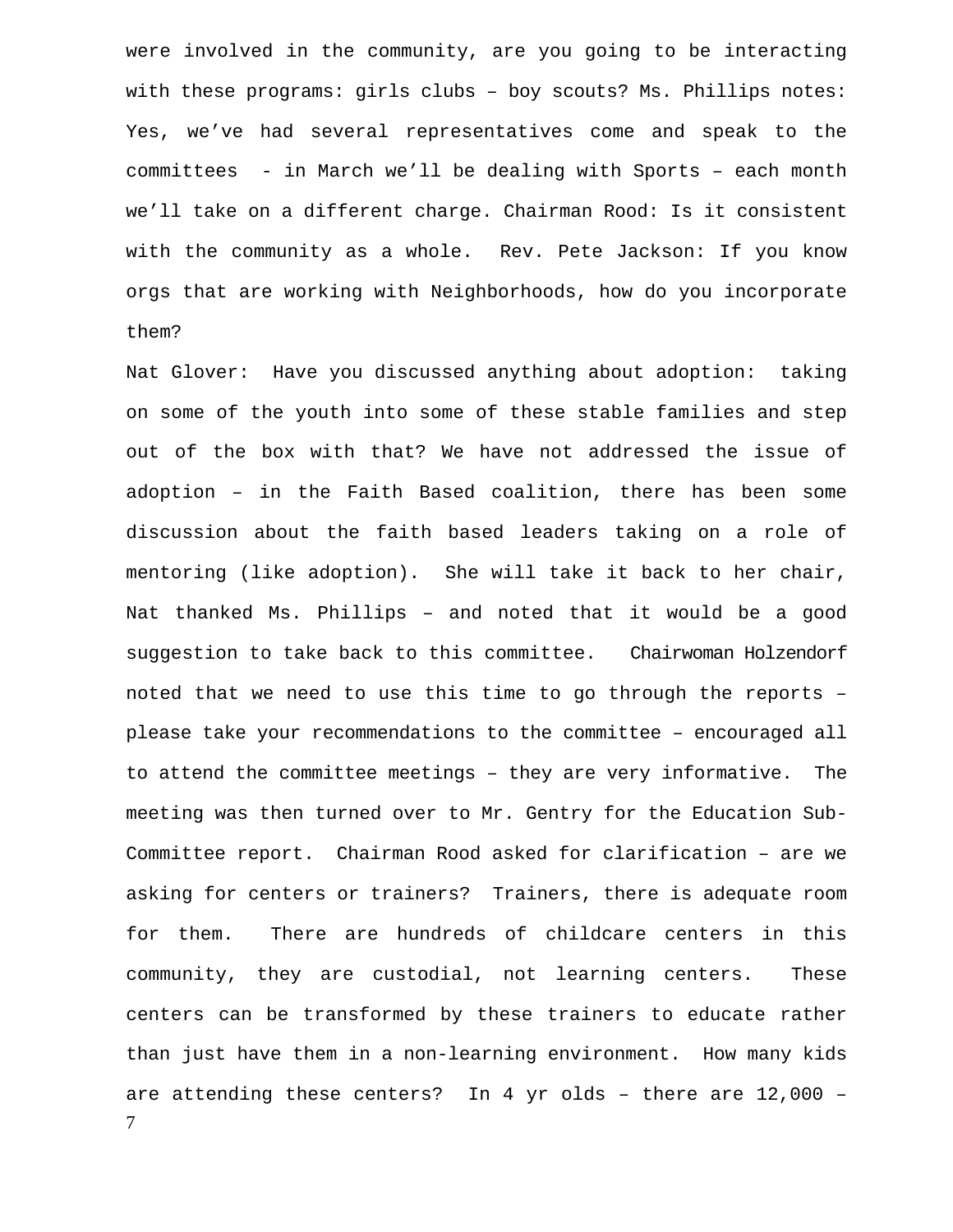were involved in the community, are you going to be interacting with these programs: girls clubs – boy scouts? Ms. Phillips notes: Yes, we've had several representatives come and speak to the committees - in March we'll be dealing with Sports – each month we'll take on a different charge. Chairman Rood: Is it consistent with the community as a whole. Rev. Pete Jackson: If you know orgs that are working with Neighborhoods, how do you incorporate them?

7 Nat Glover: Have you discussed anything about adoption: taking on some of the youth into some of these stable families and step out of the box with that? We have not addressed the issue of adoption – in the Faith Based coalition, there has been some discussion about the faith based leaders taking on a role of mentoring (like adoption). She will take it back to her chair, Nat thanked Ms. Phillips – and noted that it would be a good suggestion to take back to this committee. Chairwoman Holzendorf noted that we need to use this time to go through the reports – please take your recommendations to the committee – encouraged all to attend the committee meetings – they are very informative. The meeting was then turned over to Mr. Gentry for the Education Sub-Committee report. Chairman Rood asked for clarification – are we asking for centers or trainers? Trainers, there is adequate room for them. There are hundreds of childcare centers in this community, they are custodial, not learning centers. These centers can be transformed by these trainers to educate rather than just have them in a non-learning environment. How many kids are attending these centers? In 4 yr olds – there are 12,000 –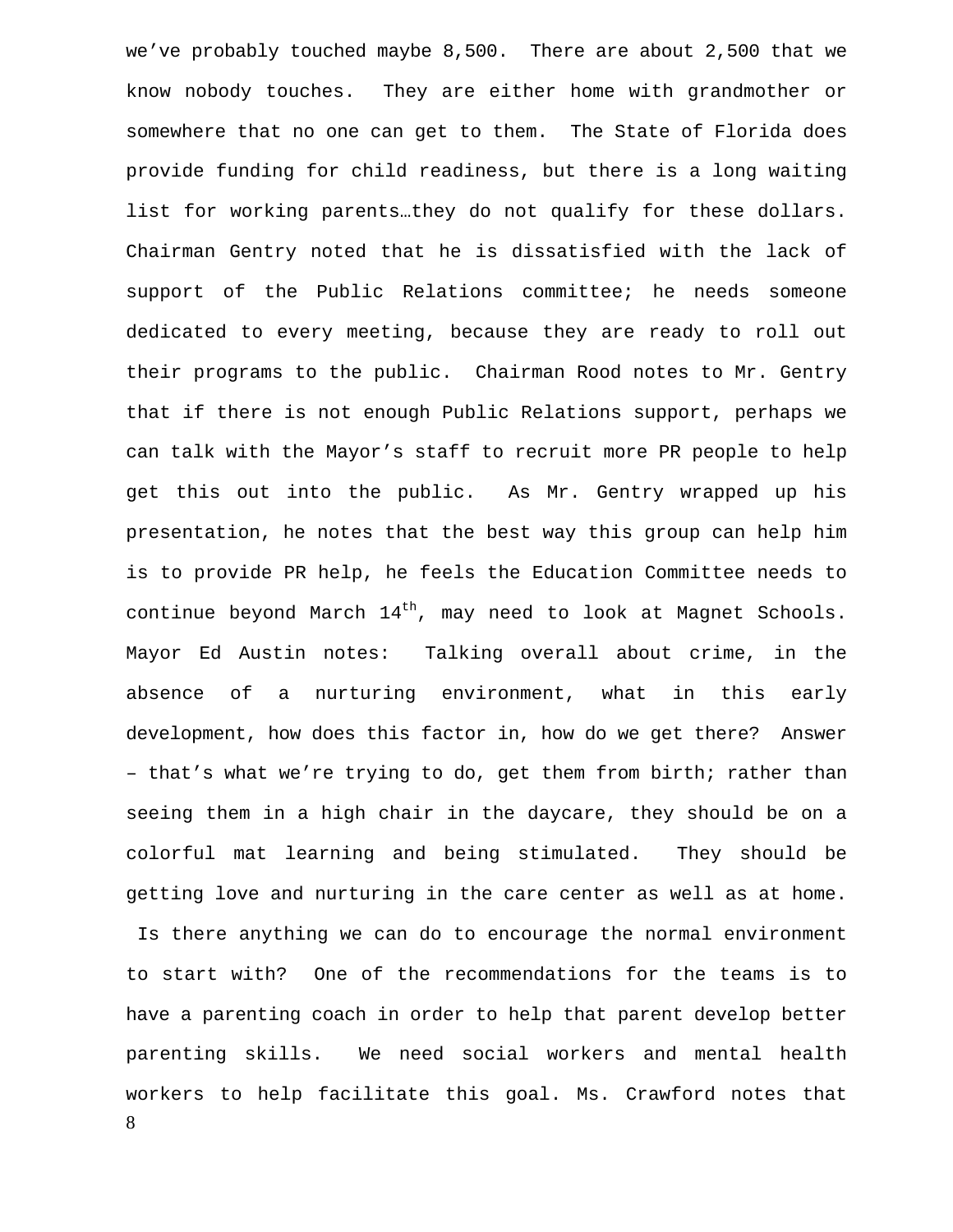we've probably touched maybe 8,500. There are about 2,500 that we know nobody touches. They are either home with grandmother or somewhere that no one can get to them. The State of Florida does provide funding for child readiness, but there is a long waiting list for working parents…they do not qualify for these dollars. Chairman Gentry noted that he is dissatisfied with the lack of support of the Public Relations committee; he needs someone dedicated to every meeting, because they are ready to roll out their programs to the public. Chairman Rood notes to Mr. Gentry that if there is not enough Public Relations support, perhaps we can talk with the Mayor's staff to recruit more PR people to help get this out into the public. As Mr. Gentry wrapped up his presentation, he notes that the best way this group can help him is to provide PR help, he feels the Education Committee needs to continue beyond March  $14^{th}$ , may need to look at Magnet Schools. Mayor Ed Austin notes: Talking overall about crime, in the absence of a nurturing environment, what in this early development, how does this factor in, how do we get there? Answer – that's what we're trying to do, get them from birth; rather than seeing them in a high chair in the daycare, they should be on a colorful mat learning and being stimulated. They should be getting love and nurturing in the care center as well as at home.

8 Is there anything we can do to encourage the normal environment to start with? One of the recommendations for the teams is to have a parenting coach in order to help that parent develop better parenting skills. We need social workers and mental health workers to help facilitate this goal. Ms. Crawford notes that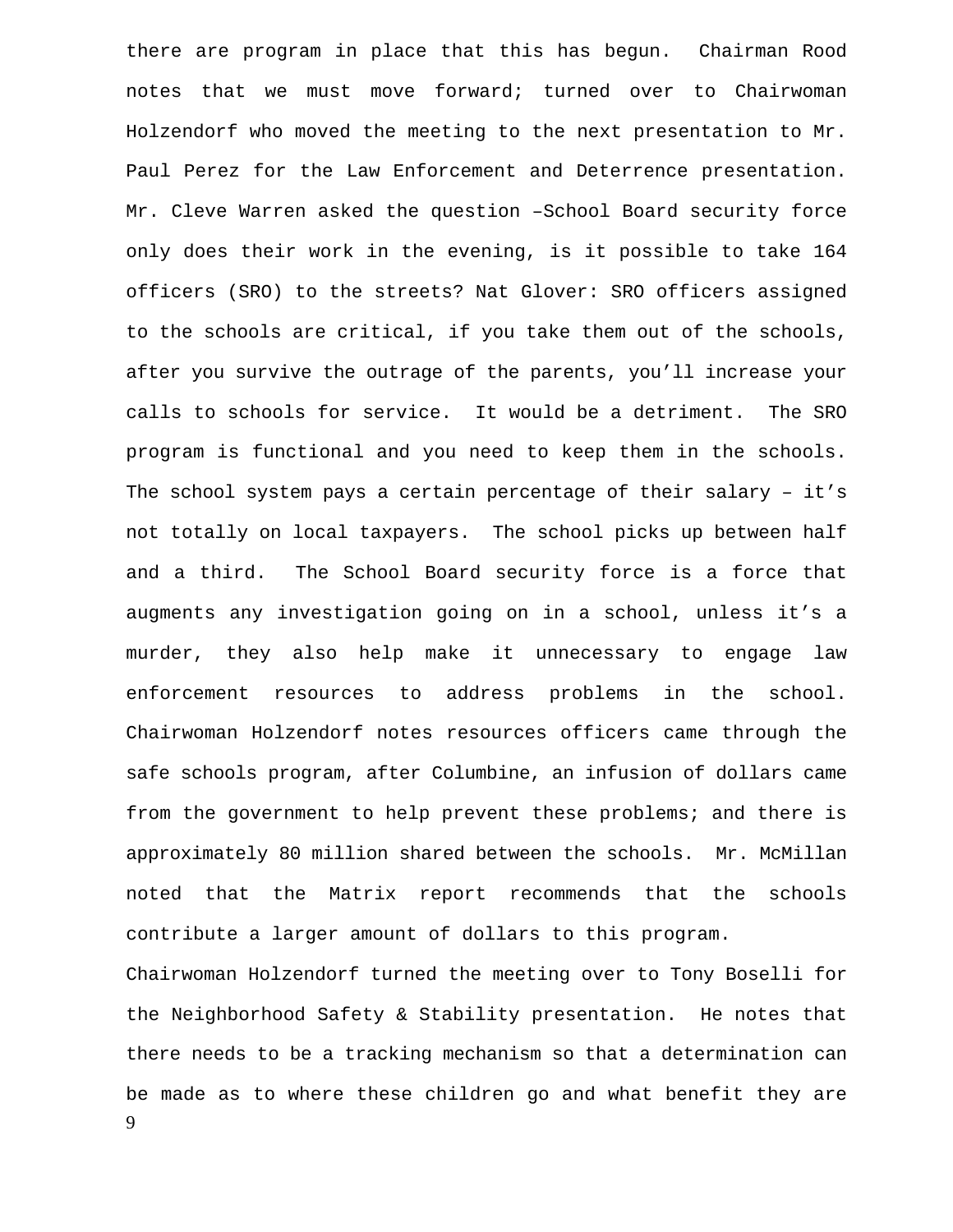there are program in place that this has begun. Chairman Rood notes that we must move forward; turned over to Chairwoman Holzendorf who moved the meeting to the next presentation to Mr. Paul Perez for the Law Enforcement and Deterrence presentation. Mr. Cleve Warren asked the question –School Board security force only does their work in the evening, is it possible to take 164 officers (SRO) to the streets? Nat Glover: SRO officers assigned to the schools are critical, if you take them out of the schools, after you survive the outrage of the parents, you'll increase your calls to schools for service. It would be a detriment. The SRO program is functional and you need to keep them in the schools. The school system pays a certain percentage of their salary – it's not totally on local taxpayers. The school picks up between half and a third. The School Board security force is a force that augments any investigation going on in a school, unless it's a murder, they also help make it unnecessary to engage law enforcement resources to address problems in the school. Chairwoman Holzendorf notes resources officers came through the safe schools program, after Columbine, an infusion of dollars came from the government to help prevent these problems; and there is approximately 80 million shared between the schools. Mr. McMillan noted that the Matrix report recommends that the schools contribute a larger amount of dollars to this program. Chairwoman Holzendorf turned the meeting over to Tony Boselli for

9 the Neighborhood Safety & Stability presentation. He notes that there needs to be a tracking mechanism so that a determination can be made as to where these children go and what benefit they are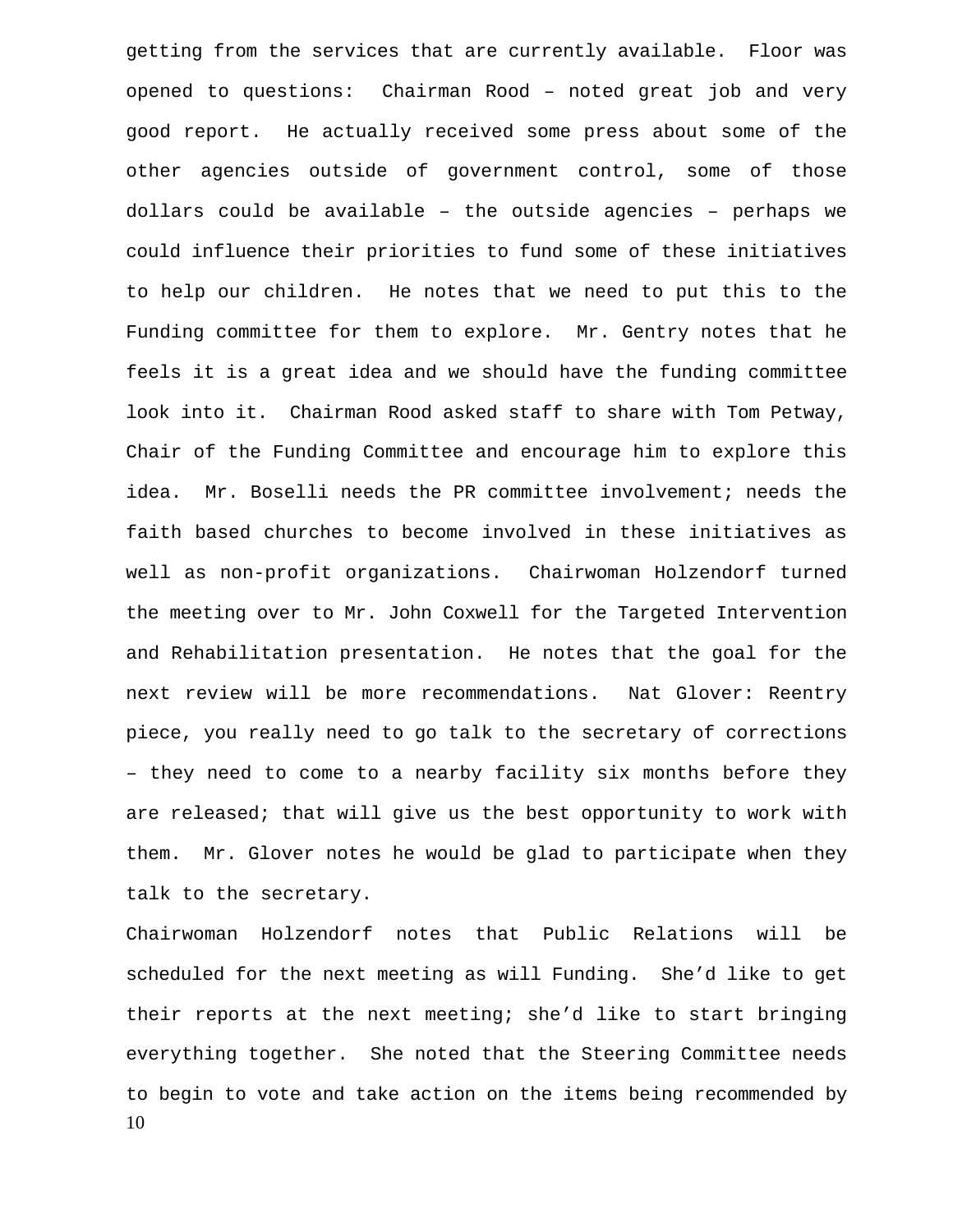getting from the services that are currently available. Floor was opened to questions: Chairman Rood – noted great job and very good report. He actually received some press about some of the other agencies outside of government control, some of those dollars could be available – the outside agencies – perhaps we could influence their priorities to fund some of these initiatives to help our children. He notes that we need to put this to the Funding committee for them to explore. Mr. Gentry notes that he feels it is a great idea and we should have the funding committee look into it. Chairman Rood asked staff to share with Tom Petway, Chair of the Funding Committee and encourage him to explore this idea. Mr. Boselli needs the PR committee involvement; needs the faith based churches to become involved in these initiatives as well as non-profit organizations. Chairwoman Holzendorf turned the meeting over to Mr. John Coxwell for the Targeted Intervention and Rehabilitation presentation. He notes that the goal for the next review will be more recommendations. Nat Glover: Reentry piece, you really need to go talk to the secretary of corrections – they need to come to a nearby facility six months before they are released; that will give us the best opportunity to work with them. Mr. Glover notes he would be glad to participate when they talk to the secretary.

10 Chairwoman Holzendorf notes that Public Relations will be scheduled for the next meeting as will Funding. She'd like to get their reports at the next meeting; she'd like to start bringing everything together. She noted that the Steering Committee needs to begin to vote and take action on the items being recommended by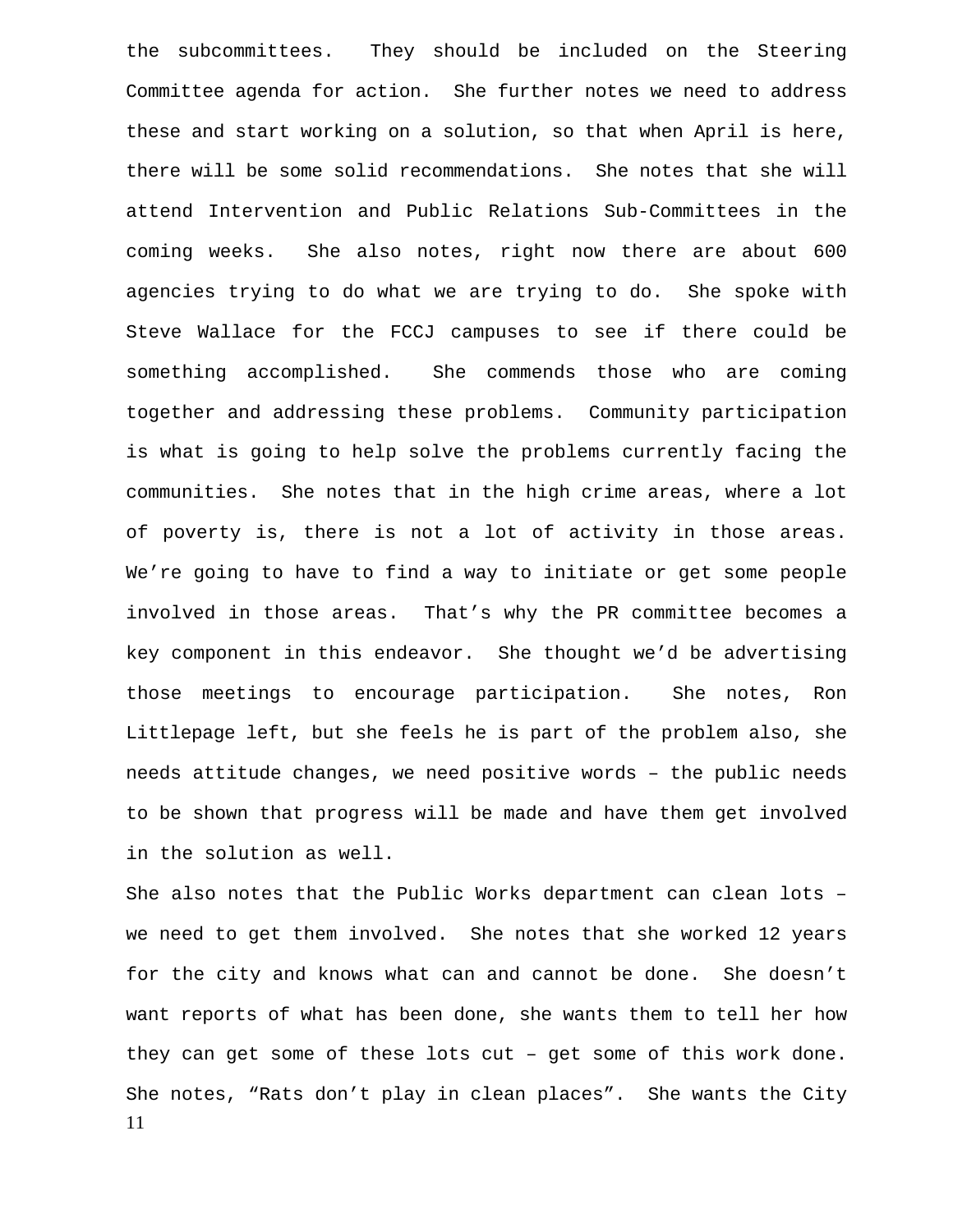the subcommittees. They should be included on the Steering Committee agenda for action. She further notes we need to address these and start working on a solution, so that when April is here, there will be some solid recommendations. She notes that she will attend Intervention and Public Relations Sub-Committees in the coming weeks. She also notes, right now there are about 600 agencies trying to do what we are trying to do. She spoke with Steve Wallace for the FCCJ campuses to see if there could be something accomplished. She commends those who are coming together and addressing these problems. Community participation is what is going to help solve the problems currently facing the communities. She notes that in the high crime areas, where a lot of poverty is, there is not a lot of activity in those areas. We're going to have to find a way to initiate or get some people involved in those areas. That's why the PR committee becomes a key component in this endeavor. She thought we'd be advertising those meetings to encourage participation. She notes, Ron Littlepage left, but she feels he is part of the problem also, she needs attitude changes, we need positive words – the public needs to be shown that progress will be made and have them get involved in the solution as well.

11 She also notes that the Public Works department can clean lots – we need to get them involved. She notes that she worked 12 years for the city and knows what can and cannot be done. She doesn't want reports of what has been done, she wants them to tell her how they can get some of these lots cut – get some of this work done. She notes, "Rats don't play in clean places". She wants the City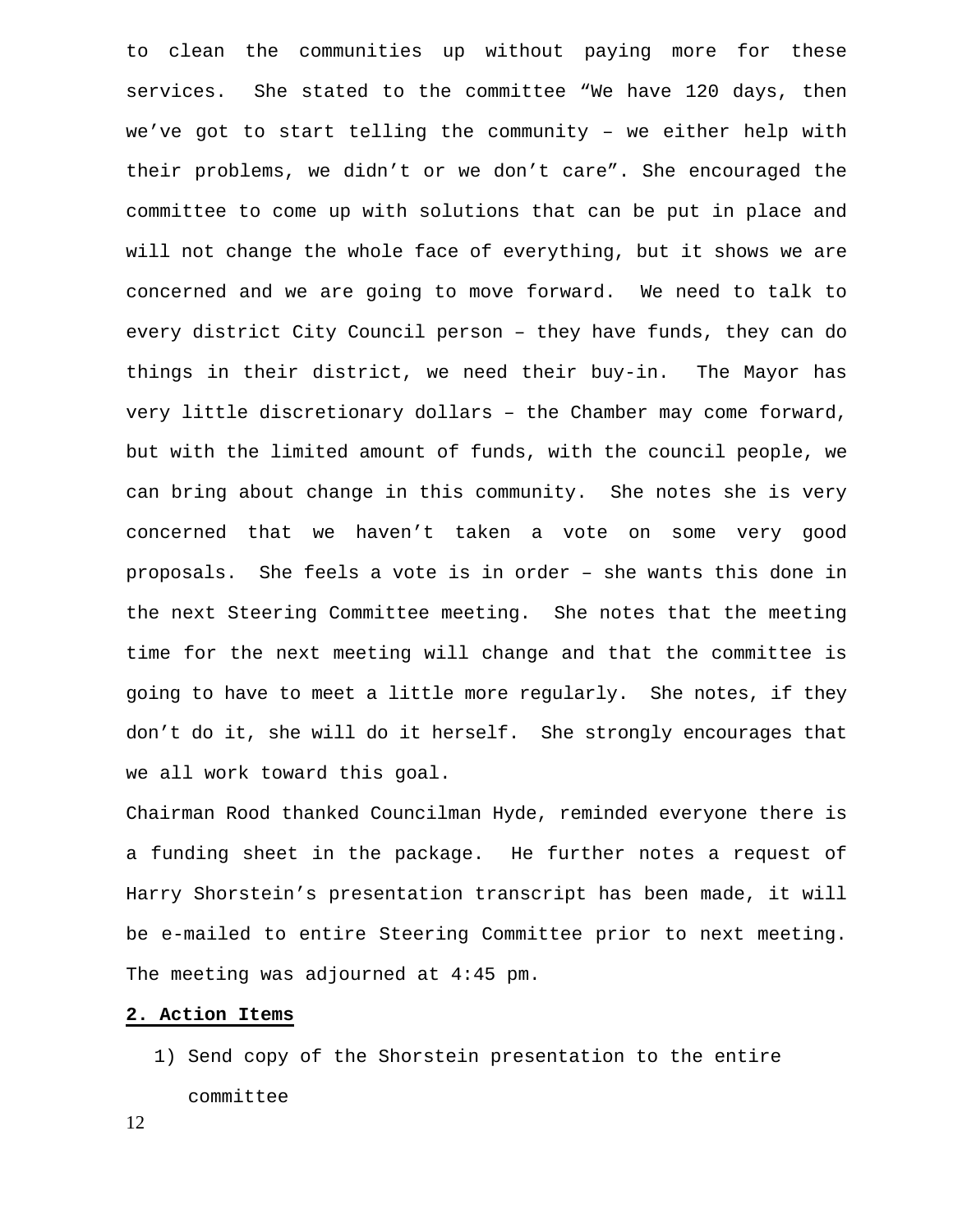to clean the communities up without paying more for these services. She stated to the committee "We have 120 days, then we've got to start telling the community – we either help with their problems, we didn't or we don't care". She encouraged the committee to come up with solutions that can be put in place and will not change the whole face of everything, but it shows we are concerned and we are going to move forward. We need to talk to every district City Council person – they have funds, they can do things in their district, we need their buy-in. The Mayor has very little discretionary dollars – the Chamber may come forward, but with the limited amount of funds, with the council people, we can bring about change in this community. She notes she is very concerned that we haven't taken a vote on some very good proposals. She feels a vote is in order – she wants this done in the next Steering Committee meeting. She notes that the meeting time for the next meeting will change and that the committee is going to have to meet a little more regularly. She notes, if they don't do it, she will do it herself. She strongly encourages that we all work toward this goal.

Chairman Rood thanked Councilman Hyde, reminded everyone there is a funding sheet in the package. He further notes a request of Harry Shorstein's presentation transcript has been made, it will be e-mailed to entire Steering Committee prior to next meeting. The meeting was adjourned at 4:45 pm.

#### **2. Action Items**

1) Send copy of the Shorstein presentation to the entire committee

12